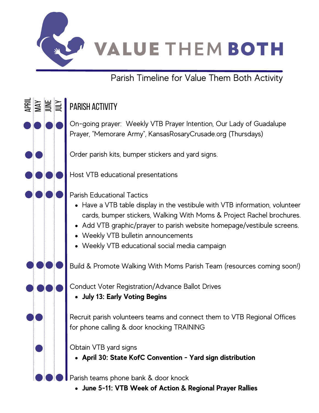

Parish Timeline for Value Them Both Activity

## $\Xi$   $\overline{\phantom{a}}$ Ap r li Ju n ee a • Have a VTB table display in the vestibule with VTB information, volunteer cards, bumper stickers, Walking With Moms & Project Rachel brochures. Add VTB graphic/prayer to parish website homepage/vestibule screens. Weekly VTB bulletin announcements Weekly VTB educational social media campaign **July 13: Early Voting Begins April 30: State KofC Convention - Yard sign distribution** On-going prayer: Weekly VTB Prayer Intention, Our Lady of Guadalupe Prayer, "Memorare Army", KansasRosaryCrusade.org (Thursdays) Order parish kits, bumper stickers and yard signs. Host VTB educational presentations Parish Educational Tactics Build & Promote Walking With Moms Parish Team (resources coming soon!) Conduct Voter Registration/Advance Ballot Drives Recruit parish volunteers teams and connect them to VTB Regional Offices for phone calling & door knocking TRAINING Obtain VTB yard signs ≋ ≫∷ Parish activity

Parish teams phone bank & door knock

**June 5-11: VTB Week of Action & Regional Prayer Rallies**